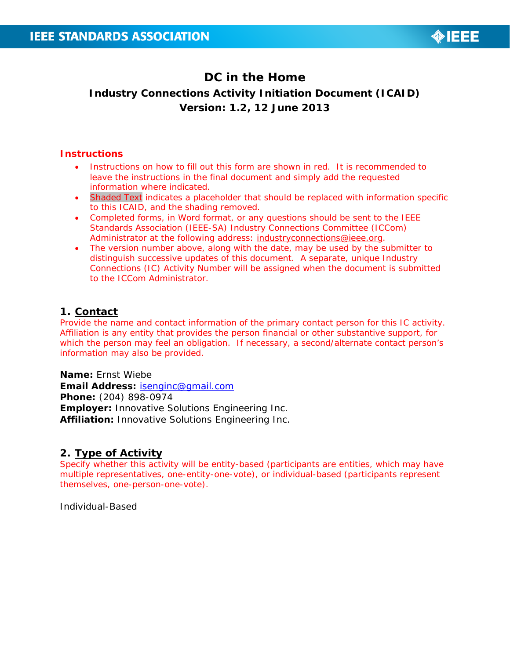

# **DC in the Home Industry Connections Activity Initiation Document (ICAID) Version: 1.2, 12 June 2013**

### **Instructions**

- Instructions on how to fill out this form are shown in red. It is recommended to leave the instructions in the final document and simply add the requested information where indicated.
- Shaded Text indicates a placeholder that should be replaced with information specific to this ICAID, and the shading removed.
- Completed forms, in Word format, or any questions should be sent to the IEEE Standards Association (IEEE-SA) Industry Connections Committee (ICCom) Administrator at the following address: industryconnections@ieee.org.
- The version number above, along with the date, may be used by the submitter to distinguish successive updates of this document. A separate, unique Industry Connections (IC) Activity Number will be assigned when the document is submitted to the ICCom Administrator.

# **1. Contact**

Provide the name and contact information of the primary contact person for this IC activity. Affiliation is any entity that provides the person financial or other substantive support, for which the person may feel an obligation. If necessary, a second/alternate contact person's information may also be provided.

**Name:** Ernst Wiebe **Email Address:** isenginc@gmail.com **Phone:** (204) 898-0974 **Employer:** Innovative Solutions Engineering Inc. **Affiliation:** Innovative Solutions Engineering Inc.

### **2. Type of Activity**

Specify whether this activity will be entity-based (participants are entities, which may have multiple representatives, one-entity-one-vote), or individual-based (participants represent themselves, one-person-one-vote).

Individual-Based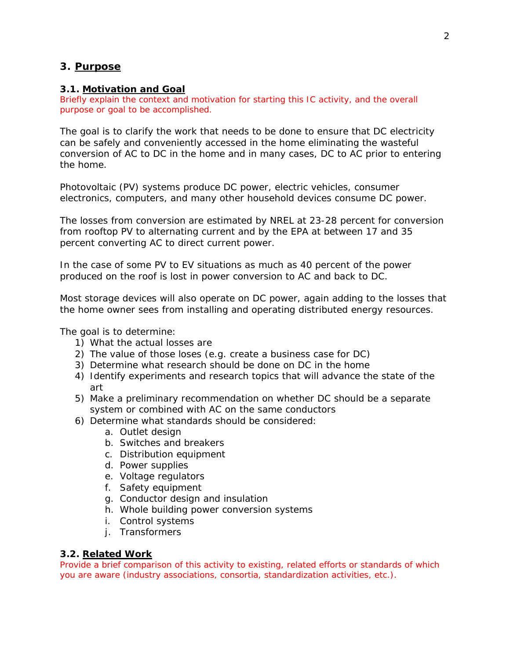# **3. Purpose**

#### **3.1. Motivation and Goal**

Briefly explain the context and motivation for starting this IC activity, and the overall purpose or goal to be accomplished.

The goal is to clarify the work that needs to be done to ensure that DC electricity can be safely and conveniently accessed in the home eliminating the wasteful conversion of AC to DC in the home and in many cases, DC to AC prior to entering the home.

Photovoltaic (PV) systems produce DC power, electric vehicles, consumer electronics, computers, and many other household devices consume DC power.

The losses from conversion are estimated by NREL at 23-28 percent for conversion from rooftop PV to alternating current and by the EPA at between 17 and 35 percent converting AC to direct current power.

In the case of some PV to EV situations as much as 40 percent of the power produced on the roof is lost in power conversion to AC and back to DC.

Most storage devices will also operate on DC power, again adding to the losses that the home owner sees from installing and operating distributed energy resources.

The goal is to determine:

- 1) What the actual losses are
- 2) The value of those loses (e.g. create a business case for DC)
- 3) Determine what research should be done on DC in the home
- 4) Identify experiments and research topics that will advance the state of the art
- 5) Make a preliminary recommendation on whether DC should be a separate system or combined with AC on the same conductors
- 6) Determine what standards should be considered:
	- a. Outlet design
	- b. Switches and breakers
	- c. Distribution equipment
	- d. Power supplies
	- e. Voltage regulators
	- f. Safety equipment
	- g. Conductor design and insulation
	- h. Whole building power conversion systems
	- i. Control systems
	- j. Transformers

### **3.2. Related Work**

Provide a brief comparison of this activity to existing, related efforts or standards of which you are aware (industry associations, consortia, standardization activities, etc.).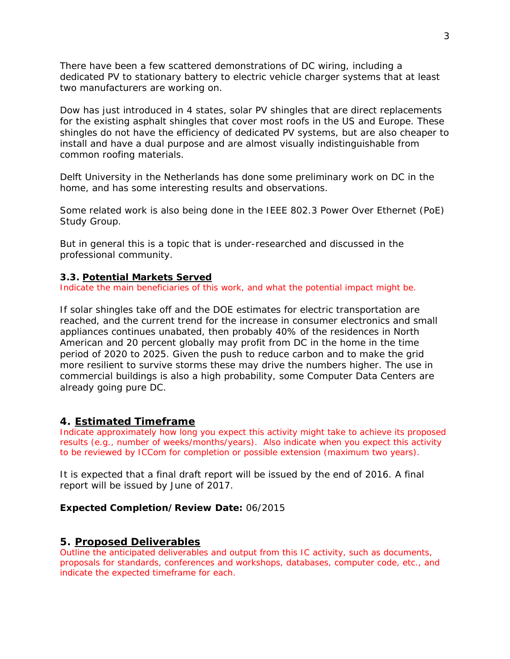There have been a few scattered demonstrations of DC wiring, including a dedicated PV to stationary battery to electric vehicle charger systems that at least two manufacturers are working on.

Dow has just introduced in 4 states, solar PV shingles that are direct replacements for the existing asphalt shingles that cover most roofs in the US and Europe. These shingles do not have the efficiency of dedicated PV systems, but are also cheaper to install and have a dual purpose and are almost visually indistinguishable from common roofing materials.

Delft University in the Netherlands has done some preliminary work on DC in the home, and has some interesting results and observations.

Some related work is also being done in the IEEE 802.3 Power Over Ethernet (PoE) Study Group.

But in general this is a topic that is under-researched and discussed in the professional community.

### **3.3. Potential Markets Served**

Indicate the main beneficiaries of this work, and what the potential impact might be.

If solar shingles take off and the DOE estimates for electric transportation are reached, and the current trend for the increase in consumer electronics and small appliances continues unabated, then probably 40% of the residences in North American and 20 percent globally may profit from DC in the home in the time period of 2020 to 2025. Given the push to reduce carbon and to make the grid more resilient to survive storms these may drive the numbers higher. The use in commercial buildings is also a high probability, some Computer Data Centers are already going pure DC.

### **4. Estimated Timeframe**

Indicate approximately how long you expect this activity might take to achieve its proposed results (e.g., number of weeks/months/years). Also indicate when you expect this activity to be reviewed by ICCom for completion or possible extension (maximum two years).

It is expected that a final draft report will be issued by the end of 2016. A final report will be issued by June of 2017.

#### **Expected Completion/Review Date:** 06/2015

### **5. Proposed Deliverables**

Outline the anticipated deliverables and output from this IC activity, such as documents, proposals for standards, conferences and workshops, databases, computer code, etc., and indicate the expected timeframe for each.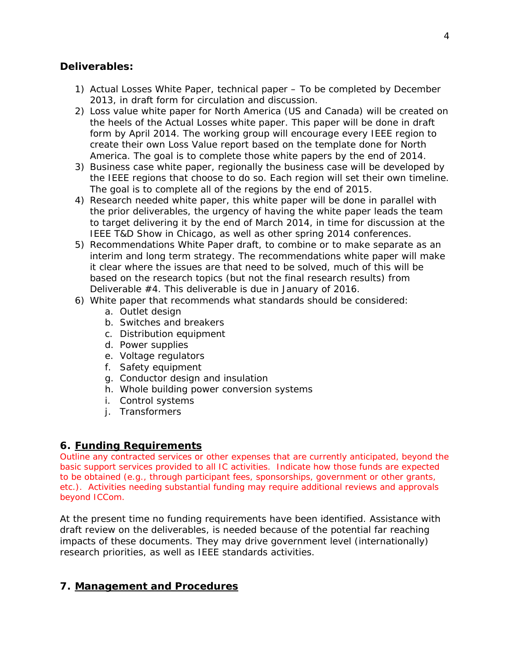# **Deliverables:**

- 1) Actual Losses White Paper, technical paper To be completed by December 2013, in draft form for circulation and discussion.
- 2) Loss value white paper for North America (US and Canada) will be created on the heels of the Actual Losses white paper. This paper will be done in draft form by April 2014. The working group will encourage every IEEE region to create their own Loss Value report based on the template done for North America. The goal is to complete those white papers by the end of 2014.
- 3) Business case white paper, regionally the business case will be developed by the IEEE regions that choose to do so. Each region will set their own timeline. The goal is to complete all of the regions by the end of 2015.
- 4) Research needed white paper, this white paper will be done in parallel with the prior deliverables, the urgency of having the white paper leads the team to target delivering it by the end of March 2014, in time for discussion at the IEEE T&D Show in Chicago, as well as other spring 2014 conferences.
- 5) Recommendations White Paper draft, to combine or to make separate as an interim and long term strategy. The recommendations white paper will make it clear where the issues are that need to be solved, much of this will be based on the research topics (but not the final research results) from Deliverable #4. This deliverable is due in January of 2016.
- 6) White paper that recommends what standards should be considered:
	- a. Outlet design
	- b. Switches and breakers
	- c. Distribution equipment
	- d. Power supplies
	- e. Voltage regulators
	- f. Safety equipment
	- g. Conductor design and insulation
	- h. Whole building power conversion systems
	- i. Control systems
	- j. Transformers

# **6. Funding Requirements**

Outline any contracted services or other expenses that are currently anticipated, beyond the basic support services provided to all IC activities. Indicate how those funds are expected to be obtained (e.g., through participant fees, sponsorships, government or other grants, etc.). Activities needing substantial funding may require additional reviews and approvals beyond ICCom.

At the present time no funding requirements have been identified. Assistance with draft review on the deliverables, is needed because of the potential far reaching impacts of these documents. They may drive government level (internationally) research priorities, as well as IEEE standards activities.

# **7. Management and Procedures**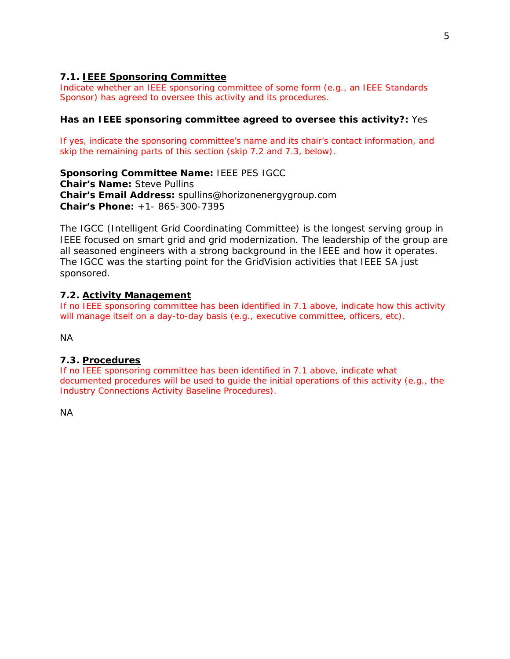# **7.1. IEEE Sponsoring Committee**

Indicate whether an IEEE sponsoring committee of some form (e.g., an IEEE Standards Sponsor) has agreed to oversee this activity and its procedures.

### **Has an IEEE sponsoring committee agreed to oversee this activity?:** Yes

If yes, indicate the sponsoring committee's name and its chair's contact information, and skip the remaining parts of this section (skip 7.2 and 7.3, below).

**Sponsoring Committee Name:** IEEE PES IGCC

**Chair's Name:** Steve Pullins **Chair's Email Address:** spullins@horizonenergygroup.com **Chair's Phone:** +1- 865-300-7395

The IGCC (Intelligent Grid Coordinating Committee) is the longest serving group in IEEE focused on smart grid and grid modernization. The leadership of the group are all seasoned engineers with a strong background in the IEEE and how it operates. The IGCC was the starting point for the GridVision activities that IEEE SA just sponsored.

### **7.2. Activity Management**

If no IEEE sponsoring committee has been identified in 7.1 above, indicate how this activity will manage itself on a day-to-day basis (e.g., executive committee, officers, etc).

NA

### **7.3. Procedures**

If no IEEE sponsoring committee has been identified in 7.1 above, indicate what documented procedures will be used to guide the initial operations of this activity (e.g., the *Industry Connections Activity Baseline Procedures*).

NA